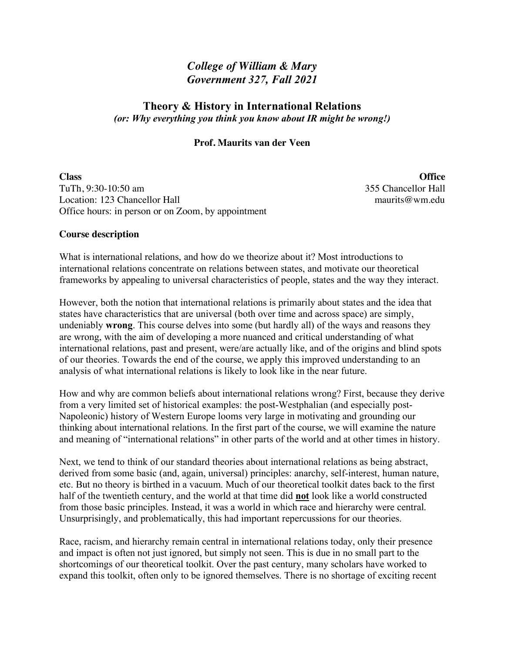# *College of William & Mary Government 327, Fall 2021*

## **Theory & History in International Relations** *(or: Why everything you think you know about IR might be wrong!)*

#### **Prof. Maurits van der Veen**

**Class Office** TuTh, 9:30-10:50 am 355 Chancellor Hall Location: 123 Chancellor Hall maurits@wm.edu Office hours: in person or on Zoom, by appointment

#### **Course description**

What is international relations, and how do we theorize about it? Most introductions to international relations concentrate on relations between states, and motivate our theoretical frameworks by appealing to universal characteristics of people, states and the way they interact.

However, both the notion that international relations is primarily about states and the idea that states have characteristics that are universal (both over time and across space) are simply, undeniably **wrong**. This course delves into some (but hardly all) of the ways and reasons they are wrong, with the aim of developing a more nuanced and critical understanding of what international relations, past and present, were/are actually like, and of the origins and blind spots of our theories. Towards the end of the course, we apply this improved understanding to an analysis of what international relations is likely to look like in the near future.

How and why are common beliefs about international relations wrong? First, because they derive from a very limited set of historical examples: the post-Westphalian (and especially post-Napoleonic) history of Western Europe looms very large in motivating and grounding our thinking about international relations. In the first part of the course, we will examine the nature and meaning of "international relations" in other parts of the world and at other times in history.

Next, we tend to think of our standard theories about international relations as being abstract, derived from some basic (and, again, universal) principles: anarchy, self-interest, human nature, etc. But no theory is birthed in a vacuum. Much of our theoretical toolkit dates back to the first half of the twentieth century, and the world at that time did **not** look like a world constructed from those basic principles. Instead, it was a world in which race and hierarchy were central. Unsurprisingly, and problematically, this had important repercussions for our theories.

Race, racism, and hierarchy remain central in international relations today, only their presence and impact is often not just ignored, but simply not seen. This is due in no small part to the shortcomings of our theoretical toolkit. Over the past century, many scholars have worked to expand this toolkit, often only to be ignored themselves. There is no shortage of exciting recent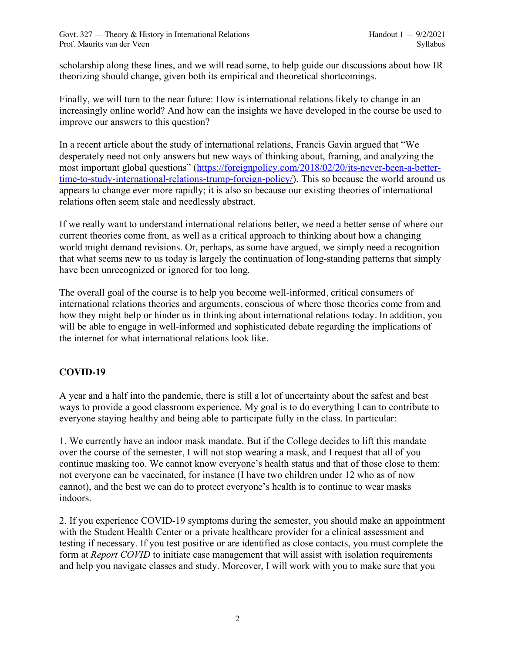scholarship along these lines, and we will read some, to help guide our discussions about how IR theorizing should change, given both its empirical and theoretical shortcomings.

Finally, we will turn to the near future: How is international relations likely to change in an increasingly online world? And how can the insights we have developed in the course be used to improve our answers to this question?

In a recent article about the study of international relations, Francis Gavin argued that "We desperately need not only answers but new ways of thinking about, framing, and analyzing the most important global questions" (https://foreignpolicy.com/2018/02/20/its-never-been-a-bettertime-to-study-international-relations-trump-foreign-policy/). This so because the world around us appears to change ever more rapidly; it is also so because our existing theories of international relations often seem stale and needlessly abstract.

If we really want to understand international relations better, we need a better sense of where our current theories come from, as well as a critical approach to thinking about how a changing world might demand revisions. Or, perhaps, as some have argued, we simply need a recognition that what seems new to us today is largely the continuation of long-standing patterns that simply have been unrecognized or ignored for too long.

The overall goal of the course is to help you become well-informed, critical consumers of international relations theories and arguments, conscious of where those theories come from and how they might help or hinder us in thinking about international relations today. In addition, you will be able to engage in well-informed and sophisticated debate regarding the implications of the internet for what international relations look like.

## **COVID-19**

A year and a half into the pandemic, there is still a lot of uncertainty about the safest and best ways to provide a good classroom experience. My goal is to do everything I can to contribute to everyone staying healthy and being able to participate fully in the class. In particular:

1. We currently have an indoor mask mandate. But if the College decides to lift this mandate over the course of the semester, I will not stop wearing a mask, and I request that all of you continue masking too. We cannot know everyone's health status and that of those close to them: not everyone can be vaccinated, for instance (I have two children under 12 who as of now cannot), and the best we can do to protect everyone's health is to continue to wear masks indoors.

2. If you experience COVID-19 symptoms during the semester, you should make an appointment with the Student Health Center or a private healthcare provider for a clinical assessment and testing if necessary. If you test positive or are identified as close contacts, you must complete the form at *Report COVID* to initiate case management that will assist with isolation requirements and help you navigate classes and study. Moreover, I will work with you to make sure that you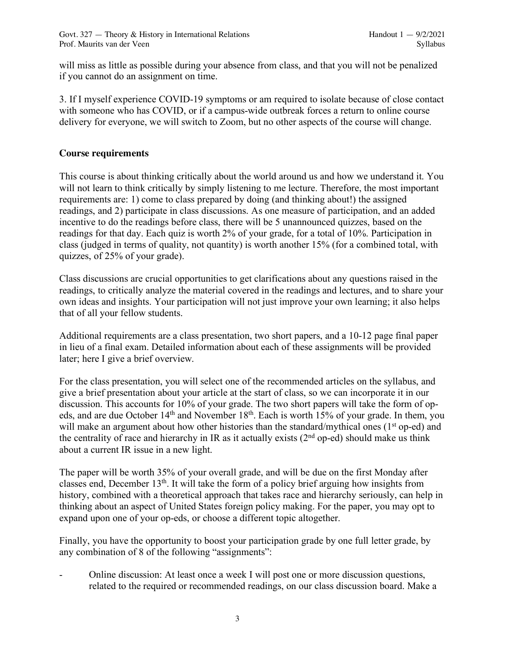will miss as little as possible during your absence from class, and that you will not be penalized if you cannot do an assignment on time.

3. If I myself experience COVID-19 symptoms or am required to isolate because of close contact with someone who has COVID, or if a campus-wide outbreak forces a return to online course delivery for everyone, we will switch to Zoom, but no other aspects of the course will change.

#### **Course requirements**

This course is about thinking critically about the world around us and how we understand it. You will not learn to think critically by simply listening to me lecture. Therefore, the most important requirements are: 1) come to class prepared by doing (and thinking about!) the assigned readings, and 2) participate in class discussions. As one measure of participation, and an added incentive to do the readings before class, there will be 5 unannounced quizzes, based on the readings for that day. Each quiz is worth 2% of your grade, for a total of 10%. Participation in class (judged in terms of quality, not quantity) is worth another 15% (for a combined total, with quizzes, of 25% of your grade).

Class discussions are crucial opportunities to get clarifications about any questions raised in the readings, to critically analyze the material covered in the readings and lectures, and to share your own ideas and insights. Your participation will not just improve your own learning; it also helps that of all your fellow students.

Additional requirements are a class presentation, two short papers, and a 10-12 page final paper in lieu of a final exam. Detailed information about each of these assignments will be provided later; here I give a brief overview.

For the class presentation, you will select one of the recommended articles on the syllabus, and give a brief presentation about your article at the start of class, so we can incorporate it in our discussion. This accounts for 10% of your grade. The two short papers will take the form of opeds, and are due October 14<sup>th</sup> and November 18<sup>th</sup>. Each is worth 15% of your grade. In them, you will make an argument about how other histories than the standard/mythical ones ( $1<sup>st</sup>$  op-ed) and the centrality of race and hierarchy in IR as it actually exists (2<sup>nd</sup> op-ed) should make us think about a current IR issue in a new light.

The paper will be worth 35% of your overall grade, and will be due on the first Monday after classes end, December 13th. It will take the form of a policy brief arguing how insights from history, combined with a theoretical approach that takes race and hierarchy seriously, can help in thinking about an aspect of United States foreign policy making. For the paper, you may opt to expand upon one of your op-eds, or choose a different topic altogether.

Finally, you have the opportunity to boost your participation grade by one full letter grade, by any combination of 8 of the following "assignments":

Online discussion: At least once a week I will post one or more discussion questions, related to the required or recommended readings, on our class discussion board. Make a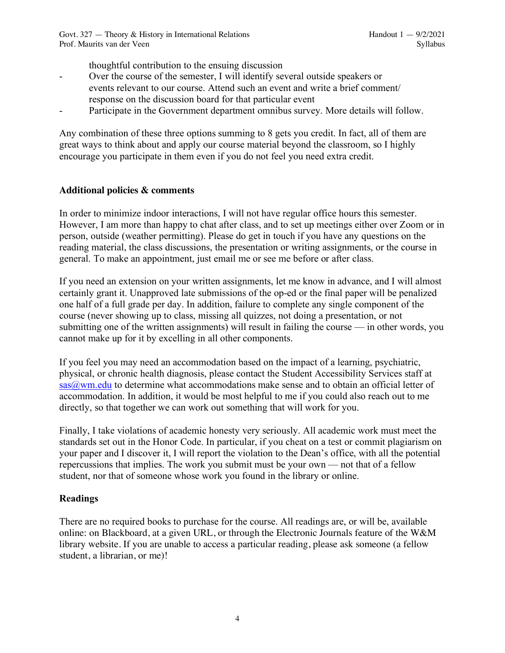thoughtful contribution to the ensuing discussion

- Over the course of the semester, I will identify several outside speakers or events relevant to our course. Attend such an event and write a brief comment/ response on the discussion board for that particular event
- Participate in the Government department omnibus survey. More details will follow.

Any combination of these three options summing to 8 gets you credit. In fact, all of them are great ways to think about and apply our course material beyond the classroom, so I highly encourage you participate in them even if you do not feel you need extra credit.

### **Additional policies & comments**

In order to minimize indoor interactions, I will not have regular office hours this semester. However, I am more than happy to chat after class, and to set up meetings either over Zoom or in person, outside (weather permitting). Please do get in touch if you have any questions on the reading material, the class discussions, the presentation or writing assignments, or the course in general. To make an appointment, just email me or see me before or after class.

If you need an extension on your written assignments, let me know in advance, and I will almost certainly grant it. Unapproved late submissions of the op-ed or the final paper will be penalized one half of a full grade per day. In addition, failure to complete any single component of the course (never showing up to class, missing all quizzes, not doing a presentation, or not submitting one of the written assignments) will result in failing the course — in other words, you cannot make up for it by excelling in all other components.

If you feel you may need an accommodation based on the impact of a learning, psychiatric, physical, or chronic health diagnosis, please contact the Student Accessibility Services staff at sas@wm.edu to determine what accommodations make sense and to obtain an official letter of accommodation. In addition, it would be most helpful to me if you could also reach out to me directly, so that together we can work out something that will work for you.

Finally, I take violations of academic honesty very seriously. All academic work must meet the standards set out in the Honor Code. In particular, if you cheat on a test or commit plagiarism on your paper and I discover it, I will report the violation to the Dean's office, with all the potential repercussions that implies. The work you submit must be your own — not that of a fellow student, nor that of someone whose work you found in the library or online.

## **Readings**

There are no required books to purchase for the course. All readings are, or will be, available online: on Blackboard, at a given URL, or through the Electronic Journals feature of the W&M library website. If you are unable to access a particular reading, please ask someone (a fellow student, a librarian, or me)!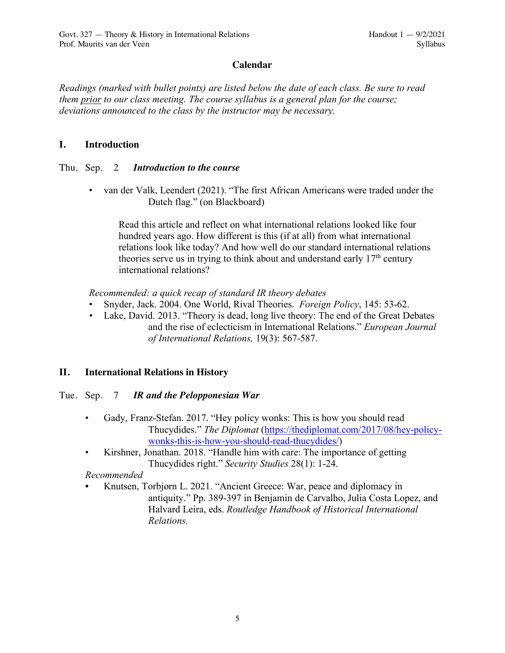## **Calendar**

*Readings (marked with bullet points) are listed below the date of each class. Be sure to read them prior to our class meeting. The course syllabus is a general plan for the course; deviations announced to the class by the instructor may be necessary.*

#### **I. Introduction**

### Thu. Sep. 2 *Introduction to the course*

• van der Valk, Leendert (2021). "The first African Americans were traded under the Dutch flag." (on Blackboard)

Read this article and reflect on what international relations looked like four hundred years ago. How different is this (if at all) from what international relations look like today? And how well do our standard international relations theories serve us in trying to think about and understand early  $17<sup>th</sup>$  century international relations?

*Recommended: a quick recap of standard IR theory debates*

- Snyder, Jack. 2004. One World, Rival Theories. *Foreign Policy*, 145: 53-62.
- *•* Lake, David. 2013. "Theory is dead, long live theory: The end of the Great Debates and the rise of eclecticism in International Relations." *European Journal of International Relations,* 19(3): 567-587.

## **II. International Relations in History**

#### Tue. Sep. 7 *IR and the Pelopponesian War*

- Gady, Franz-Stefan. 2017. "Hey policy wonks: This is how you should read Thucydides." *The Diplomat* (https://thediplomat.com/2017/08/hey-policywonks-this-is-how-you-should-read-thucydides/)
- Kirshner, Jonathan. 2018. "Handle him with care: The importance of getting Thucydides right." *Security Studies* 28(1): 1-24.

## *Recommended*

**•** Knutsen, Torbjørn L. 2021. "Ancient Greece: War, peace and diplomacy in antiquity." Pp. 389-397 in Benjamin de Carvalho, Julia Costa Lopez, and Halvard Leira, eds. *Routledge Handbook of Historical International Relations.*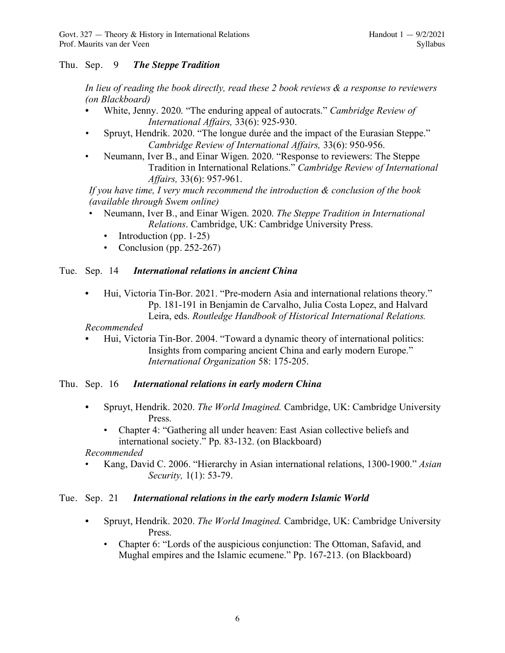## Thu. Sep. 9 *The Steppe Tradition*

*In lieu of reading the book directly, read these 2 book reviews & a response to reviewers (on Blackboard)*

- *•* White, Jenny. 2020. "The enduring appeal of autocrats." *Cambridge Review of International Affairs,* 33(6): 925-930.
- *•* Spruyt, Hendrik. 2020. "The longue durée and the impact of the Eurasian Steppe." *Cambridge Review of International Affairs,* 33(6): 950-956.
- Neumann, Iver B., and Einar Wigen. 2020. "Response to reviewers: The Steppe Tradition in International Relations." *Cambridge Review of International Affairs,* 33(6): 957-961.

*If you have time, I very much recommend the introduction & conclusion of the book (available through Swem online)*

- Neumann, Iver B., and Einar Wigen. 2020. *The Steppe Tradition in International Relations*. Cambridge, UK: Cambridge University Press.
	- Introduction (pp.  $1-25$ )
	- Conclusion (pp. 252-267)

### Tue. Sep. 14 *International relations in ancient China*

**•** Hui, Victoria Tin-Bor. 2021. "Pre-modern Asia and international relations theory." Pp. 181-191 in Benjamin de Carvalho, Julia Costa Lopez, and Halvard Leira, eds. *Routledge Handbook of Historical International Relations.*

*Recommended*

*•* Hui, Victoria Tin-Bor. 2004. "Toward a dynamic theory of international politics: Insights from comparing ancient China and early modern Europe." *International Organization* 58: 175-205.

#### Thu. Sep. 16 *International relations in early modern China*

- *•* Spruyt, Hendrik. 2020. *The World Imagined.* Cambridge, UK: Cambridge University Press.
	- Chapter 4: "Gathering all under heaven: East Asian collective beliefs and international society." Pp. 83-132. (on Blackboard)

*Recommended*

• Kang, David C. 2006. "Hierarchy in Asian international relations, 1300-1900." *Asian Security,* 1(1): 53-79.

#### Tue. Sep. 21 *International relations in the early modern Islamic World*

- *•* Spruyt, Hendrik. 2020. *The World Imagined.* Cambridge, UK: Cambridge University Press.
	- Chapter 6: "Lords of the auspicious conjunction: The Ottoman, Safavid, and Mughal empires and the Islamic ecumene." Pp. 167-213. (on Blackboard)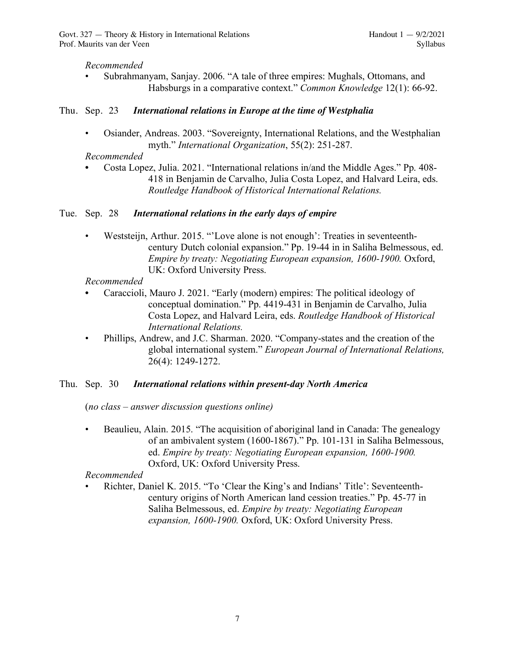## *Recommended*

• Subrahmanyam, Sanjay. 2006. "A tale of three empires: Mughals, Ottomans, and Habsburgs in a comparative context." *Common Knowledge* 12(1): 66-92.

## Thu. Sep. 23 *International relations in Europe at the time of Westphalia*

• Osiander, Andreas. 2003. "Sovereignty, International Relations, and the Westphalian myth." *International Organization*, 55(2): 251-287.

## *Recommended*

**•** Costa Lopez, Julia. 2021. "International relations in/and the Middle Ages." Pp. 408- 418 in Benjamin de Carvalho, Julia Costa Lopez, and Halvard Leira, eds. *Routledge Handbook of Historical International Relations.*

## Tue. Sep. 28 *International relations in the early days of empire*

Weststeijn, Arthur. 2015. "'Love alone is not enough': Treaties in seventeenthcentury Dutch colonial expansion." Pp. 19-44 in in Saliha Belmessous, ed. *Empire by treaty: Negotiating European expansion, 1600-1900.* Oxford, UK: Oxford University Press.

## *Recommended*

- **•** Caraccioli, Mauro J. 2021. "Early (modern) empires: The political ideology of conceptual domination." Pp. 4419-431 in Benjamin de Carvalho, Julia Costa Lopez, and Halvard Leira, eds. *Routledge Handbook of Historical International Relations.*
- Phillips, Andrew, and J.C. Sharman. 2020. "Company-states and the creation of the global international system." *European Journal of International Relations,*  26(4): 1249-1272.

## Thu. Sep. 30 *International relations within present-day North America*

(*no class – answer discussion questions online)*

• Beaulieu, Alain. 2015. "The acquisition of aboriginal land in Canada: The genealogy of an ambivalent system (1600-1867)." Pp. 101-131 in Saliha Belmessous, ed. *Empire by treaty: Negotiating European expansion, 1600-1900.* Oxford, UK: Oxford University Press.

## *Recommended*

• Richter, Daniel K. 2015. "To 'Clear the King's and Indians' Title': Seventeenthcentury origins of North American land cession treaties." Pp. 45-77 in Saliha Belmessous, ed. *Empire by treaty: Negotiating European expansion, 1600-1900.* Oxford, UK: Oxford University Press.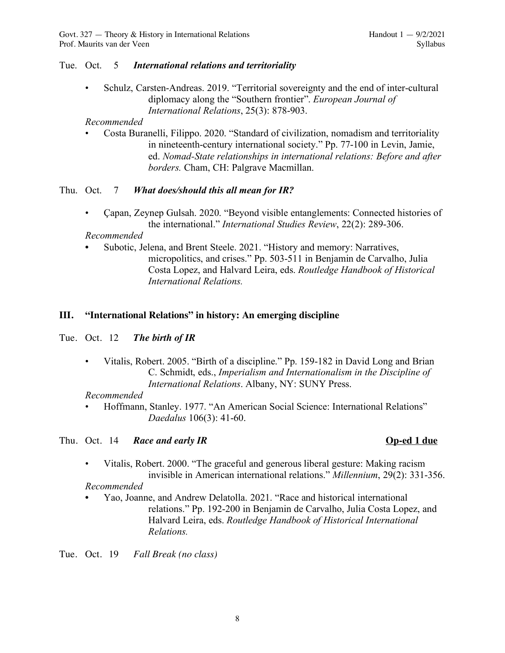#### Tue. Oct. 5 *International relations and territoriality*

• Schulz, Carsten-Andreas. 2019. "Territorial sovereignty and the end of inter-cultural diplomacy along the "Southern frontier". *European Journal of International Relations*, 25(3): 878-903.

#### *Recommended*

• Costa Buranelli, Filippo. 2020. "Standard of civilization, nomadism and territoriality in nineteenth-century international society." Pp. 77-100 in Levin, Jamie, ed. *Nomad-State relationships in international relations: Before and after borders.* Cham, CH: Palgrave Macmillan.

### Thu. Oct. 7 *What does/should this all mean for IR?*

• Çapan, Zeynep Gulsah. 2020. "Beyond visible entanglements: Connected histories of the international." *International Studies Review*, 22(2): 289-306.

#### *Recommended*

**•** Subotic, Jelena, and Brent Steele. 2021. "History and memory: Narratives, micropolitics, and crises." Pp. 503-511 in Benjamin de Carvalho, Julia Costa Lopez, and Halvard Leira, eds. *Routledge Handbook of Historical International Relations.*

### **III. "International Relations" in history: An emerging discipline**

#### Tue. Oct. 12 *The birth of IR*

• Vitalis, Robert. 2005. "Birth of a discipline." Pp. 159-182 in David Long and Brian C. Schmidt, eds., *Imperialism and Internationalism in the Discipline of International Relations*. Albany, NY: SUNY Press.

#### *Recommended*

• Hoffmann, Stanley. 1977. "An American Social Science: International Relations" *Daedalus* 106(3): 41-60.

#### Thu. Oct. 14 *Race and early IR* **Op-ed 1 due**

• Vitalis, Robert. 2000. "The graceful and generous liberal gesture: Making racism invisible in American international relations." *Millennium*, 29(2): 331-356.

#### *Recommended*

**•** Yao, Joanne, and Andrew Delatolla. 2021. "Race and historical international relations." Pp. 192-200 in Benjamin de Carvalho, Julia Costa Lopez, and Halvard Leira, eds. *Routledge Handbook of Historical International Relations.*

Tue. Oct. 19 *Fall Break (no class)*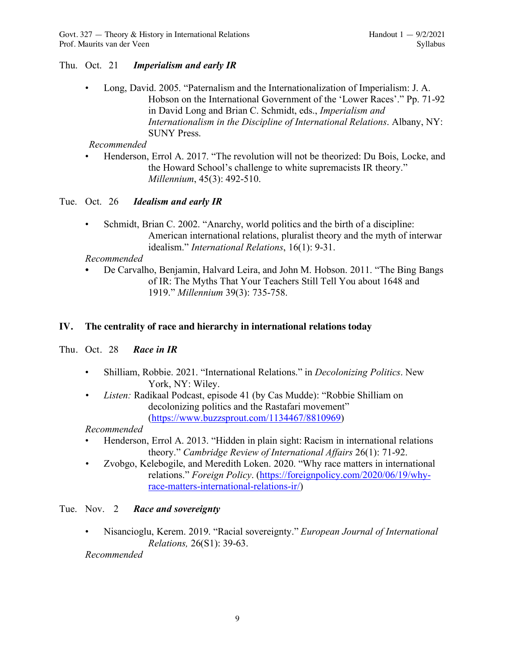### Thu. Oct. 21 *Imperialism and early IR*

• Long, David. 2005. "Paternalism and the Internationalization of Imperialism: J. A. Hobson on the International Government of the 'Lower Races'." Pp. 71-92 in David Long and Brian C. Schmidt, eds., *Imperialism and Internationalism in the Discipline of International Relations*. Albany, NY: SUNY Press.

### *Recommended*

• Henderson, Errol A. 2017. "The revolution will not be theorized: Du Bois, Locke, and the Howard School's challenge to white supremacists IR theory." *Millennium*, 45(3): 492-510.

### Tue. Oct. 26 *Idealism and early IR*

• Schmidt, Brian C. 2002. "Anarchy, world politics and the birth of a discipline: American international relations, pluralist theory and the myth of interwar idealism." *International Relations*, 16(1): 9-31.

### *Recommended*

*•* De Carvalho, Benjamin, Halvard Leira, and John M. Hobson. 2011. "The Bing Bangs of IR: The Myths That Your Teachers Still Tell You about 1648 and 1919." *Millennium* 39(3): 735-758.

### **IV. The centrality of race and hierarchy in international relations today**

Thu. Oct. 28 *Race in IR*

- Shilliam, Robbie. 2021. "International Relations." in *Decolonizing Politics*. New York, NY: Wiley.
- *• Listen:* Radikaal Podcast, episode 41 (by Cas Mudde): "Robbie Shilliam on decolonizing politics and the Rastafari movement" (https://www.buzzsprout.com/1134467/8810969)

#### *Recommended*

- Henderson, Errol A. 2013. "Hidden in plain sight: Racism in international relations theory." *Cambridge Review of International Affairs* 26(1): 71-92.
- *•* Zvobgo, Kelebogile, and Meredith Loken. 2020. "Why race matters in international relations." *Foreign Policy*. (https://foreignpolicy.com/2020/06/19/whyrace-matters-international-relations-ir/)

#### Tue. Nov. 2 *Race and sovereignty*

• Nisancioglu, Kerem. 2019. "Racial sovereignty." *European Journal of International Relations,* 26(S1): 39-63.

#### *Recommended*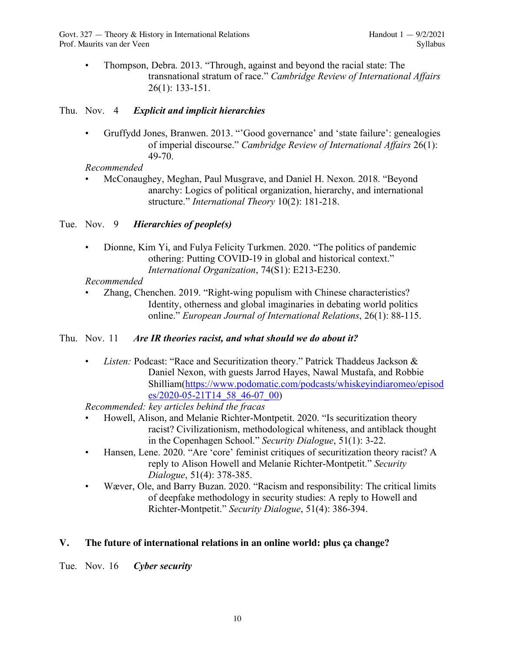• Thompson, Debra. 2013. "Through, against and beyond the racial state: The transnational stratum of race." *Cambridge Review of International Affairs* 26(1): 133-151.

## Thu. Nov. 4 *Explicit and implicit hierarchies*

• Gruffydd Jones, Branwen. 2013. "'Good governance' and 'state failure': genealogies of imperial discourse." *Cambridge Review of International Affairs* 26(1): 49-70.

## *Recommended*

• McConaughey, Meghan, Paul Musgrave, and Daniel H. Nexon. 2018. "Beyond anarchy: Logics of political organization, hierarchy, and international structure." *International Theory* 10(2): 181-218.

## Tue. Nov. 9 *Hierarchies of people(s)*

• Dionne, Kim Yi, and Fulya Felicity Turkmen. 2020. "The politics of pandemic othering: Putting COVID-19 in global and historical context." *International Organization*, 74(S1): E213-E230.

## *Recommended*

• Zhang, Chenchen. 2019. "Right-wing populism with Chinese characteristics? Identity, otherness and global imaginaries in debating world politics online." *European Journal of International Relations*, 26(1): 88-115.

## Thu. Nov. 11 *Are IR theories racist, and what should we do about it?*

• *Listen:* Podcast: "Race and Securitization theory." Patrick Thaddeus Jackson & Daniel Nexon, with guests Jarrod Hayes, Nawal Mustafa, and Robbie Shilliam(https://www.podomatic.com/podcasts/whiskeyindiaromeo/episod es/2020-05-21T14\_58\_46-07\_00)

*Recommended: key articles behind the fracas*

- Howell, Alison, and Melanie Richter-Montpetit. 2020. "Is securitization theory racist? Civilizationism, methodological whiteness, and antiblack thought in the Copenhagen School." *Security Dialogue*, 51(1): 3-22.
- Hansen, Lene. 2020. "Are 'core' feminist critiques of securitization theory racist? A reply to Alison Howell and Melanie Richter-Montpetit." *Security Dialogue*, 51(4): 378-385.
- Wæver, Ole, and Barry Buzan. 2020. "Racism and responsibility: The critical limits of deepfake methodology in security studies: A reply to Howell and Richter-Montpetit." *Security Dialogue*, 51(4): 386-394.

## **V. The future of international relations in an online world: plus ça change?**

Tue. Nov. 16 *Cyber security*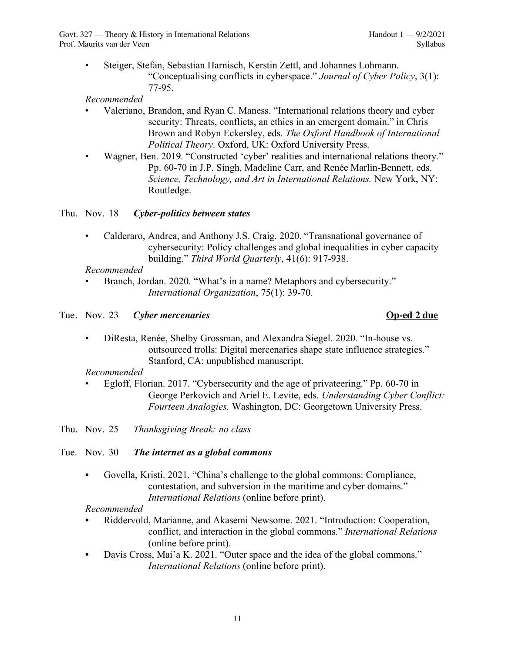• Steiger, Stefan, Sebastian Harnisch, Kerstin Zettl, and Johannes Lohmann. "Conceptualising conflicts in cyberspace." *Journal of Cyber Policy*, 3(1): 77-95.

*Recommended*

- Valeriano, Brandon, and Ryan C. Maness. "International relations theory and cyber security: Threats, conflicts, an ethics in an emergent domain." in Chris Brown and Robyn Eckersley, eds. *The Oxford Handbook of International Political Theory*. Oxford, UK: Oxford University Press.
- Wagner, Ben. 2019. "Constructed 'cyber' realities and international relations theory." Pp. 60-70 in J.P. Singh, Madeline Carr, and Renée Marlin-Bennett, eds. *Science, Technology, and Art in International Relations.* New York, NY: Routledge.

Thu. Nov. 18 *Cyber-politics between states*

• Calderaro, Andrea, and Anthony J.S. Craig. 2020. "Transnational governance of cybersecurity: Policy challenges and global inequalities in cyber capacity building." *Third World Quarterly*, 41(6): 917-938.

*Recommended*

• Branch, Jordan. 2020. "What's in a name? Metaphors and cybersecurity." *International Organization*, 75(1): 39-70.

## Tue. Nov. 23 *Cyber mercenaries* **Op-ed 2 due**

• DiResta, Renée, Shelby Grossman, and Alexandra Siegel. 2020. "In-house vs. outsourced trolls: Digital mercenaries shape state influence strategies." Stanford, CA: unpublished manuscript.

## *Recommended*

• Egloff, Florian. 2017. "Cybersecurity and the age of privateering." Pp. 60-70 in George Perkovich and Ariel E. Levite, eds. *Understanding Cyber Conflict: Fourteen Analogies.* Washington, DC: Georgetown University Press.

Thu. Nov. 25 *Thanksgiving Break: no class*

- Tue. Nov. 30 *The internet as a global commons*
	- *•* Govella, Kristi. 2021. "China's challenge to the global commons: Compliance, contestation, and subversion in the maritime and cyber domains." *International Relations* (online before print).

## *Recommended*

- *•* Riddervold, Marianne, and Akasemi Newsome. 2021. "Introduction: Cooperation, conflict, and interaction in the global commons." *International Relations* (online before print).
- *•* Davis Cross, Mai'a K. 2021. "Outer space and the idea of the global commons." *International Relations* (online before print).